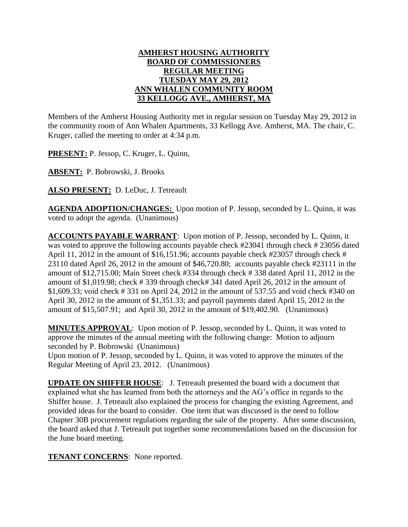## **AMHERST HOUSING AUTHORITY BOARD OF COMMISSIONERS REGULAR MEETING TUESDAY MAY 29, 2012 ANN WHALEN COMMUNITY ROOM 33 KELLOGG AVE., AMHERST, MA**

Members of the Amherst Housing Authority met in regular session on Tuesday May 29, 2012 in the community room of Ann Whalen Apartments, 33 Kellogg Ave. Amherst, MA. The chair, C. Kruger, called the meeting to order at 4:34 p.m.

**PRESENT:** P. Jessop, C. Kruger, L. Quinn,

**ABSENT:** P. Bobrowski, J. Brooks

**ALSO PRESENT:** D. LeDuc, J. Tetreault

**AGENDA ADOPTION/CHANGES:** Upon motion of P. Jessop, seconded by L. Quinn, it was voted to adopt the agenda. (Unanimous)

**ACCOUNTS PAYABLE WARRANT**: Upon motion of P. Jessop, seconded by L. Quinn, it was voted to approve the following accounts payable check #23041 through check # 23056 dated April 11, 2012 in the amount of \$16,151.96; accounts payable check #23057 through check # 23110 dated April 26, 2012 in the amount of \$46,720.80; accounts payable check #23111 in the amount of \$12,715.00; Main Street check #334 through check # 338 dated April 11, 2012 in the amount of \$1,019.98; check # 339 through check# 341 dated April 26, 2012 in the amount of \$1,609.33; void check # 331 on April 24, 2012 in the amount of 537.55 and void check #340 on April 30, 2012 in the amount of \$1,351.33; and payroll payments dated April 15, 2012 in the amount of \$15,507.91; and April 30, 2012 in the amount of \$19,402.90. (Unanimous)

**MINUTES APPROVAL**: Upon motion of P. Jessop, seconded by L. Quinn, it was voted to approve the minutes of the annual meeting with the following change: Motion to adjourn seconded by P. Bobrowski (Unanimous)

Upon motion of P. Jessop, seconded by L. Quinn, it was voted to approve the minutes of the Regular Meeting of April 23, 2012. (Unanimous)

**UPDATE ON SHIFFER HOUSE**: J. Tetreault presented the board with a document that explained what she has learned from both the attorneys and the AG's office in regards to the Shiffer house. J. Tetreault also explained the process for changing the existing Agreement, and provided ideas for the board to consider. One item that was discussed is the need to follow Chapter 30B procurement regulations regarding the sale of the property. After some discussion, the board asked that J. Tetreault put together some recommendations based on the discussion for the June board meeting.

**TENANT CONCERNS**: None reported.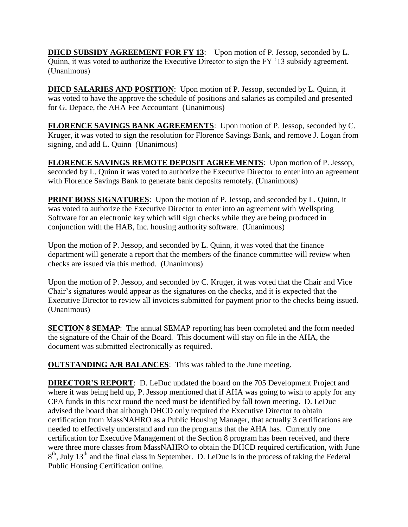**DHCD SUBSIDY AGREEMENT FOR FY 13:** Upon motion of P. Jessop, seconded by L. Quinn, it was voted to authorize the Executive Director to sign the FY '13 subsidy agreement. (Unanimous)

**DHCD SALARIES AND POSITION**: Upon motion of P. Jessop, seconded by L. Quinn, it was voted to have the approve the schedule of positions and salaries as compiled and presented for G. Depace, the AHA Fee Accountant (Unanimous)

**FLORENCE SAVINGS BANK AGREEMENTS**: Upon motion of P. Jessop, seconded by C. Kruger, it was voted to sign the resolution for Florence Savings Bank, and remove J. Logan from signing, and add L. Quinn (Unanimous)

**FLORENCE SAVINGS REMOTE DEPOSIT AGREEMENTS**: Upon motion of P. Jessop, seconded by L. Quinn it was voted to authorize the Executive Director to enter into an agreement with Florence Savings Bank to generate bank deposits remotely. (Unanimous)

**PRINT BOSS SIGNATURES:** Upon the motion of P. Jessop, and seconded by L. Quinn, it was voted to authorize the Executive Director to enter into an agreement with Wellspring Software for an electronic key which will sign checks while they are being produced in conjunction with the HAB, Inc. housing authority software. (Unanimous)

Upon the motion of P. Jessop, and seconded by L. Quinn, it was voted that the finance department will generate a report that the members of the finance committee will review when checks are issued via this method. (Unanimous)

Upon the motion of P. Jessop, and seconded by C. Kruger, it was voted that the Chair and Vice Chair's signatures would appear as the signatures on the checks, and it is expected that the Executive Director to review all invoices submitted for payment prior to the checks being issued. (Unanimous)

**SECTION 8 SEMAP**: The annual SEMAP reporting has been completed and the form needed the signature of the Chair of the Board. This document will stay on file in the AHA, the document was submitted electronically as required.

**OUTSTANDING A/R BALANCES:** This was tabled to the June meeting.

**DIRECTOR'S REPORT**: D. LeDuc updated the board on the 705 Development Project and where it was being held up, P. Jessop mentioned that if AHA was going to wish to apply for any CPA funds in this next round the need must be identified by fall town meeting. D. LeDuc advised the board that although DHCD only required the Executive Director to obtain certification from MassNAHRO as a Public Housing Manager, that actually 3 certifications are needed to effectively understand and run the programs that the AHA has. Currently one certification for Executive Management of the Section 8 program has been received, and there were three more classes from MassNAHRO to obtain the DHCD required certification, with June  $8<sup>th</sup>$ , July 13<sup>th</sup> and the final class in September. D. LeDuc is in the process of taking the Federal Public Housing Certification online.